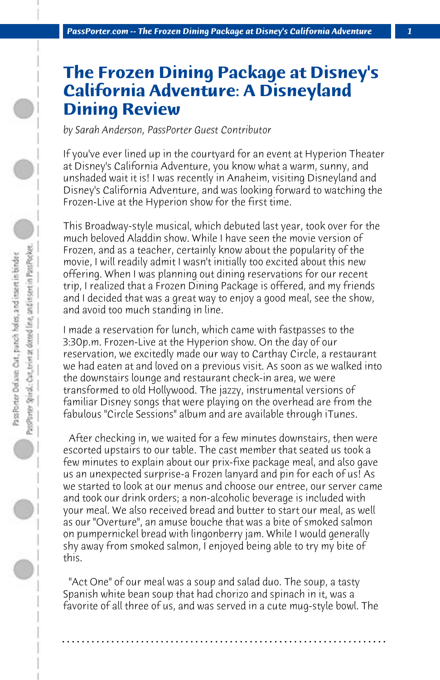## **The Frozen Dining Package at Disney's California Adventure: A Disneyland Dining Review**

*by Sarah Anderson, PassPorter Guest Contributor*

If you've ever lined up in the courtyard for an event at Hyperion Theater at Disney's California Adventure, you know what a warm, sunny, and unshaded wait it is! I was recently in Anaheim, visiting Disneyland and Disney's California Adventure, and was looking forward to watching the Frozen-Live at the Hyperion show for the first time.

This Broadway-style musical, which debuted last year, took over for the much beloved Aladdin show. While I have seen the movie version of Frozen, and as a teacher, certainly know about the popularity of the movie, I will readily admit I wasn't initially too excited about this new offering. When I was planning out dining reservations for our recent trip, I realized that a Frozen Dining Package is offered, and my friends and I decided that was a great way to enjoy a good meal, see the show, and avoid too much standing in line.

I made a reservation for lunch, which came with fastpasses to the 3:30p.m. Frozen-Live at the Hyperion show. On the day of our reservation, we excitedly made our way to Carthay Circle, a restaurant we had eaten at and loved on a previous visit. As soon as we walked into the downstairs lounge and restaurant check-in area, we were transformed to old Hollywood. The jazzy, instrumental versions of familiar Disney songs that were playing on the overhead are from the fabulous "Circle Sessions" album and are available through iTunes.

 After checking in, we waited for a few minutes downstairs, then were escorted upstairs to our table. The cast member that seated us took a few minutes to explain about our prix-fixe package meal, and also gave us an unexpected surprise-a Frozen lanyard and pin for each of us! As we started to look at our menus and choose our entree, our server came and took our drink orders; a non-alcoholic beverage is included with your meal. We also received bread and butter to start our meal, as well as our "Overture", an amuse bouche that was a bite of smoked salmon on pumpernickel bread with lingonberry jam. While I would generally shy away from smoked salmon, I enjoyed being able to try my bite of this.

 "Act One" of our meal was a soup and salad duo. The soup, a tasty Spanish white bean soup that had chorizo and spinach in it, was a favorite of all three of us, and was served in a cute mug-style bowl. The

**. . . . . . . . . . . . . . . . . . . . . . . . . . . . . . . . . . . . . . . . . . . . . . . . . . . . . . . . . . . . . . . . . .**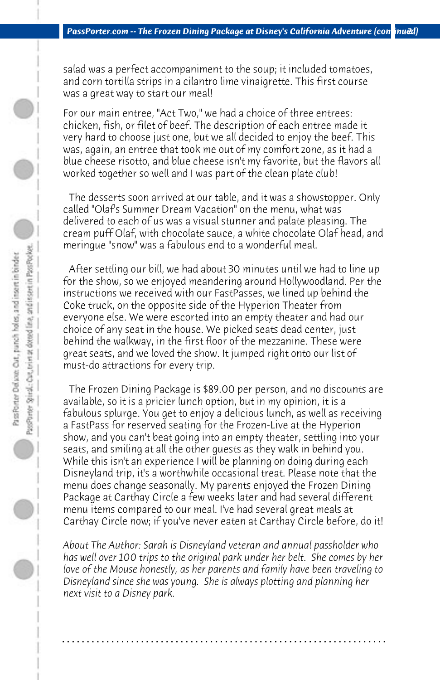salad was a perfect accompaniment to the soup; it included tomatoes, and corn tortilla strips in a cilantro lime vinaigrette. This first course was a great way to start our meal!

For our main entree, "Act Two," we had a choice of three entrees: chicken, fish, or filet of beef. The description of each entree made it very hard to choose just one, but we all decided to enjoy the beef. This was, again, an entree that took me out of my comfort zone, as it had a blue cheese risotto, and blue cheese isn't my favorite, but the flavors all worked together so well and I was part of the clean plate club!

 The desserts soon arrived at our table, and it was a showstopper. Only called "Olaf's Summer Dream Vacation" on the menu, what was delivered to each of us was a visual stunner and palate pleasing. The cream puff Olaf, with chocolate sauce, a white chocolate Olaf head, and meringue "snow" was a fabulous end to a wonderful meal.

 After settling our bill, we had about 30 minutes until we had to line up for the show, so we enjoyed meandering around Hollywoodland. Per the instructions we received with our FastPasses, we lined up behind the Coke truck, on the opposite side of the Hyperion Theater from everyone else. We were escorted into an empty theater and had our choice of any seat in the house. We picked seats dead center, just behind the walkway, in the first floor of the mezzanine. These were great seats, and we loved the show. It jumped right onto our list of must-do attractions for every trip.

 The Frozen Dining Package is \$89.00 per person, and no discounts are available, so it is a pricier lunch option, but in my opinion, it is a fabulous splurge. You get to enjoy a delicious lunch, as well as receiving a FastPass for reserved seating for the Frozen-Live at the Hyperion show, and you can't beat going into an empty theater, settling into your seats, and smiling at all the other guests as they walk in behind you. While this isn't an experience I will be planning on doing during each Disneyland trip, it's a worthwhile occasional treat. Please note that the menu does change seasonally. My parents enjoyed the Frozen Dining Package at Carthay Circle a few weeks later and had several different menu items compared to our meal. I've had several great meals at Carthay Circle now; if you've never eaten at Carthay Circle before, do it!

*About The Author: Sarah is Disneyland veteran and annual passholder who has well over 100 trips to the original park under her belt. She comes by her love of the Mouse honestly, as her parents and family have been traveling to Disneyland since she was young. She is always plotting and planning her next visit to a Disney park.* 

**. . . . . . . . . . . . . . . . . . . . . . . . . . . . . . . . . . . . . . . . . . . . . . . . . . . . . . . . . . . . . . . . . .**